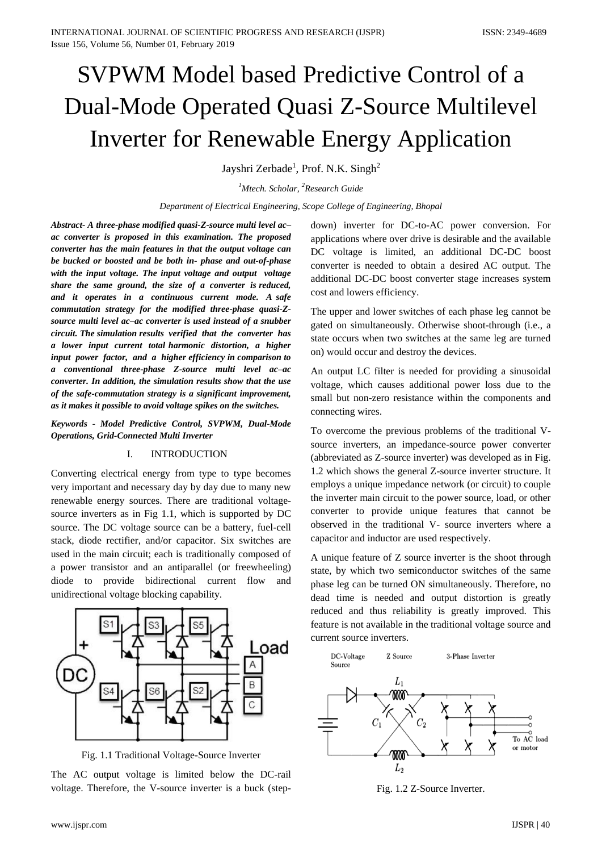# SVPWM Model based Predictive Control of a Dual-Mode Operated Quasi Z-Source Multilevel Inverter for Renewable Energy Application

Jayshri Zerbade<sup>1</sup>, Prof. N.K. Singh<sup>2</sup>

*<sup>1</sup>Mtech. Scholar, <sup>2</sup>Research Guide*

*Department of Electrical Engineering, Scope College of Engineering, Bhopal*

*Abstract- A three-phase modified quasi-Z-source multi level ac– ac converter is proposed in this examination. The proposed converter has the main features in that the output voltage can be bucked or boosted and be both in- phase and out-of-phase with the input voltage. The input voltage and output voltage share the same ground, the size of a converter is reduced, and it operates in a continuous current mode. A safe commutation strategy for the modified three-phase quasi-Zsource multi level ac–ac converter is used instead of a snubber circuit. The simulation results verified that the converter has a lower input current total harmonic distortion, a higher input power factor, and a higher efficiency in comparison to a conventional three-phase Z-source multi level ac–ac converter. In addition, the simulation results show that the use of the safe-commutation strategy is a significant improvement, as it makes it possible to avoid voltage spikes on the switches.*

*Keywords - Model Predictive Control, SVPWM, Dual-Mode Operations, Grid-Connected Multi Inverter*

# I. INTRODUCTION

Converting electrical energy from type to type becomes very important and necessary day by day due to many new renewable energy sources. There are traditional voltagesource inverters as in Fig 1.1, which is supported by DC source. The DC voltage source can be a battery, fuel-cell stack, diode rectifier, and/or capacitor. Six switches are used in the main circuit; each is traditionally composed of a power transistor and an antiparallel (or freewheeling) diode to provide bidirectional current flow and unidirectional voltage blocking capability.



Fig. 1.1 Traditional Voltage-Source Inverter

The AC output voltage is limited below the DC-rail voltage. Therefore, the V-source inverter is a buck (stepdown) inverter for DC-to-AC power conversion. For applications where over drive is desirable and the available DC voltage is limited, an additional DC-DC boost converter is needed to obtain a desired AC output. The additional DC-DC boost converter stage increases system cost and lowers efficiency.

The upper and lower switches of each phase leg cannot be gated on simultaneously. Otherwise shoot-through (i.e., a state occurs when two switches at the same leg are turned on) would occur and destroy the devices.

An output LC filter is needed for providing a sinusoidal voltage, which causes additional power loss due to the small but non-zero resistance within the components and connecting wires.

To overcome the previous problems of the traditional Vsource inverters, an impedance-source power converter (abbreviated as Z-source inverter) was developed as in Fig. 1.2 which shows the general Z-source inverter structure. It employs a unique impedance network (or circuit) to couple the inverter main circuit to the power source, load, or other converter to provide unique features that cannot be observed in the traditional V- source inverters where a capacitor and inductor are used respectively.

A unique feature of Z source inverter is the shoot through state, by which two semiconductor switches of the same phase leg can be turned ON simultaneously. Therefore, no dead time is needed and output distortion is greatly reduced and thus reliability is greatly improved. This feature is not available in the traditional voltage source and current source inverters.



Fig. 1.2 Z-Source Inverter.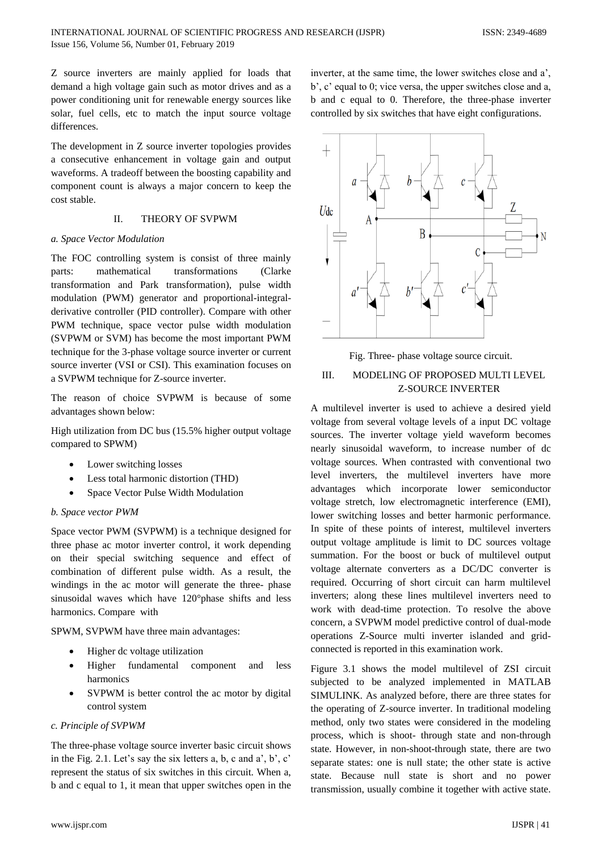Z source inverters are mainly applied for loads that demand a high voltage gain such as motor drives and as a power conditioning unit for renewable energy sources like solar, fuel cells, etc to match the input source voltage differences.

The development in Z source inverter topologies provides a consecutive enhancement in voltage gain and output waveforms. A tradeoff between the boosting capability and component count is always a major concern to keep the cost stable.

# II. THEORY OF SVPWM

## *a. Space Vector Modulation*

The FOC controlling system is consist of three mainly parts: mathematical transformations (Clarke transformation and Park transformation), pulse width modulation (PWM) generator and proportional-integralderivative controller (PID controller). Compare with other PWM technique, space vector pulse width modulation (SVPWM or SVM) has become the most important PWM technique for the 3-phase voltage source inverter or current source inverter (VSI or CSI). This examination focuses on a SVPWM technique for Z-source inverter.

The reason of choice SVPWM is because of some advantages shown below:

High utilization from DC bus (15.5% higher output voltage compared to SPWM)

- Lower switching losses
- Less total harmonic distortion (THD)
- Space Vector Pulse Width Modulation

# *b. Space vector PWM*

Space vector PWM (SVPWM) is a technique designed for three phase ac motor inverter control, it work depending on their special switching sequence and effect of combination of different pulse width. As a result, the windings in the ac motor will generate the three- phase sinusoidal waves which have 120°phase shifts and less harmonics. Compare with

SPWM, SVPWM have three main advantages:

- Higher dc voltage utilization
- Higher fundamental component and less harmonics
- SVPWM is better control the ac motor by digital control system

## *c. Principle of SVPWM*

The three-phase voltage source inverter basic circuit shows in the Fig. 2.1. Let's say the six letters a, b, c and a', b', c' represent the status of six switches in this circuit. When a, b and c equal to 1, it mean that upper switches open in the



Fig. Three- phase voltage source circuit.

# III. MODELING OF PROPOSED MULTI LEVEL Z-SOURCE INVERTER

A multilevel inverter is used to achieve a desired yield voltage from several voltage levels of a input DC voltage sources. The inverter voltage yield waveform becomes nearly sinusoidal waveform, to increase number of dc voltage sources. When contrasted with conventional two level inverters, the multilevel inverters have more advantages which incorporate lower semiconductor voltage stretch, low electromagnetic interference (EMI), lower switching losses and better harmonic performance. In spite of these points of interest, multilevel inverters output voltage amplitude is limit to DC sources voltage summation. For the boost or buck of multilevel output voltage alternate converters as a DC/DC converter is required. Occurring of short circuit can harm multilevel inverters; along these lines multilevel inverters need to work with dead-time protection. To resolve the above concern, a SVPWM model predictive control of dual-mode operations Z-Source multi inverter islanded and gridconnected is reported in this examination work.

Figure 3.1 shows the model multilevel of ZSI circuit subjected to be analyzed implemented in MATLAB SIMULINK. As analyzed before, there are three states for the operating of Z-source inverter. In traditional modeling method, only two states were considered in the modeling process, which is shoot- through state and non-through state. However, in non-shoot-through state, there are two separate states: one is null state; the other state is active state. Because null state is short and no power transmission, usually combine it together with active state.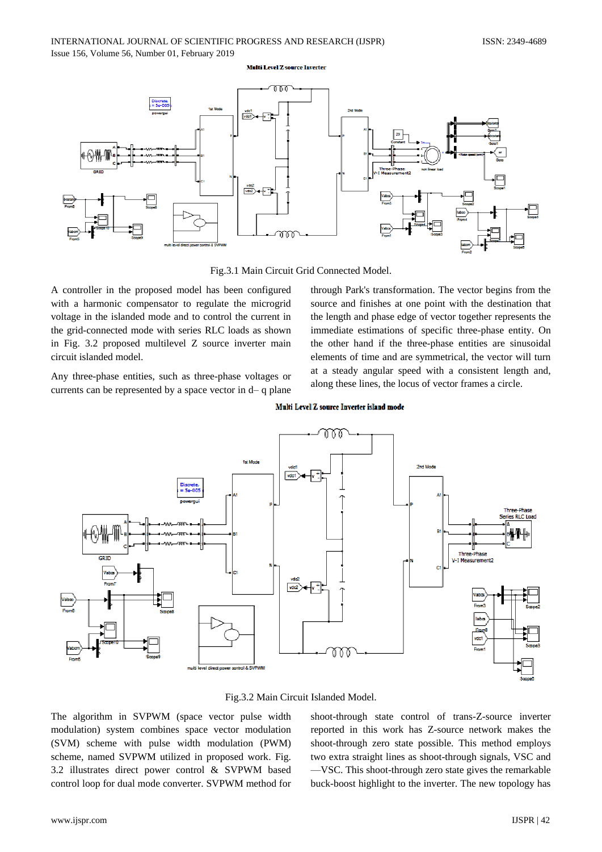#### **Multi Level Z source Inverter**



Fig.3.1 Main Circuit Grid Connected Model.

A controller in the proposed model has been configured with a harmonic compensator to regulate the microgrid voltage in the islanded mode and to control the current in the grid-connected mode with series RLC loads as shown in Fig. 3.2 proposed multilevel Z source inverter main circuit islanded model.

Any three-phase entities, such as three-phase voltages or currents can be represented by a space vector in d– q plane through Park's transformation. The vector begins from the source and finishes at one point with the destination that the length and phase edge of vector together represents the immediate estimations of specific three-phase entity. On the other hand if the three-phase entities are sinusoidal elements of time and are symmetrical, the vector will turn at a steady angular speed with a consistent length and, along these lines, the locus of vector frames a circle.





Fig.3.2 Main Circuit Islanded Model.

The algorithm in SVPWM (space vector pulse width modulation) system combines space vector modulation (SVM) scheme with pulse width modulation (PWM) scheme, named SVPWM utilized in proposed work. Fig. 3.2 illustrates direct power control & SVPWM based control loop for dual mode converter. SVPWM method for

shoot-through state control of trans-Z-source inverter reported in this work has Z-source network makes the shoot-through zero state possible. This method employs two extra straight lines as shoot-through signals, VSC and —VSC. This shoot-through zero state gives the remarkable buck-boost highlight to the inverter. The new topology has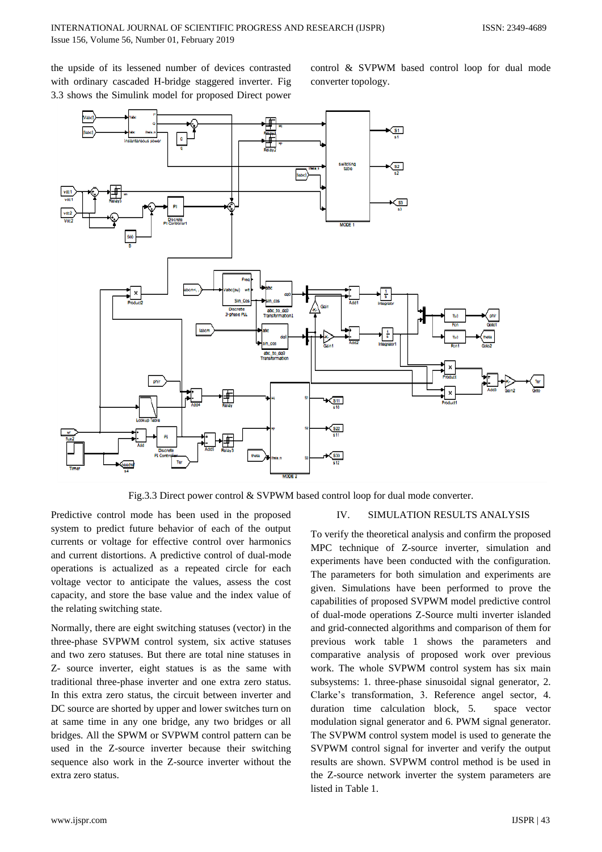the upside of its lessened number of devices contrasted with ordinary cascaded H-bridge staggered inverter. Fig 3.3 shows the Simulink model for proposed Direct power control & SVPWM based control loop for dual mode converter topology.



Fig.3.3 Direct power control & SVPWM based control loop for dual mode converter.

Predictive control mode has been used in the proposed system to predict future behavior of each of the output currents or voltage for effective control over harmonics and current distortions. A predictive control of dual-mode operations is actualized as a repeated circle for each voltage vector to anticipate the values, assess the cost capacity, and store the base value and the index value of the relating switching state.

Normally, there are eight switching statuses (vector) in the three-phase SVPWM control system, six active statuses and two zero statuses. But there are total nine statuses in Z- source inverter, eight statues is as the same with traditional three-phase inverter and one extra zero status. In this extra zero status, the circuit between inverter and DC source are shorted by upper and lower switches turn on at same time in any one bridge, any two bridges or all bridges. All the SPWM or SVPWM control pattern can be used in the Z-source inverter because their switching sequence also work in the Z-source inverter without the extra zero status.

# IV. SIMULATION RESULTS ANALYSIS

To verify the theoretical analysis and confirm the proposed MPC technique of Z-source inverter, simulation and experiments have been conducted with the configuration. The parameters for both simulation and experiments are given. Simulations have been performed to prove the capabilities of proposed SVPWM model predictive control of dual-mode operations Z-Source multi inverter islanded and grid-connected algorithms and comparison of them for previous work table 1 shows the parameters and comparative analysis of proposed work over previous work. The whole SVPWM control system has six main subsystems: 1. three-phase sinusoidal signal generator, 2. Clarke's transformation, 3. Reference angel sector, 4. duration time calculation block, 5. space vector modulation signal generator and 6. PWM signal generator. The SVPWM control system model is used to generate the SVPWM control signal for inverter and verify the output results are shown. SVPWM control method is be used in the Z-source network inverter the system parameters are listed in Table 1.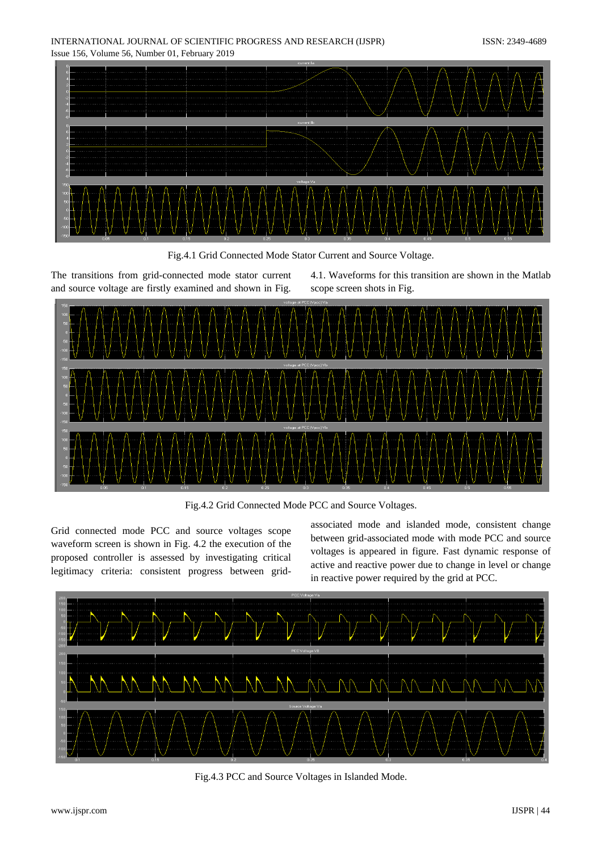INTERNATIONAL JOURNAL OF SCIENTIFIC PROGRESS AND RESEARCH (IJSPR) ISSN: 2349-4689 Issue 156, Volume 56, Number 01, February 2019



Fig.4.1 Grid Connected Mode Stator Current and Source Voltage.

The transitions from grid-connected mode stator current and source voltage are firstly examined and shown in Fig.

4.1. Waveforms for this transition are shown in the Matlab scope screen shots in Fig.



Fig.4.2 Grid Connected Mode PCC and Source Voltages.

Grid connected mode PCC and source voltages scope waveform screen is shown in Fig. 4.2 the execution of the proposed controller is assessed by investigating critical legitimacy criteria: consistent progress between gridassociated mode and islanded mode, consistent change between grid-associated mode with mode PCC and source voltages is appeared in figure. Fast dynamic response of active and reactive power due to change in level or change in reactive power required by the grid at PCC.



Fig.4.3 PCC and Source Voltages in Islanded Mode.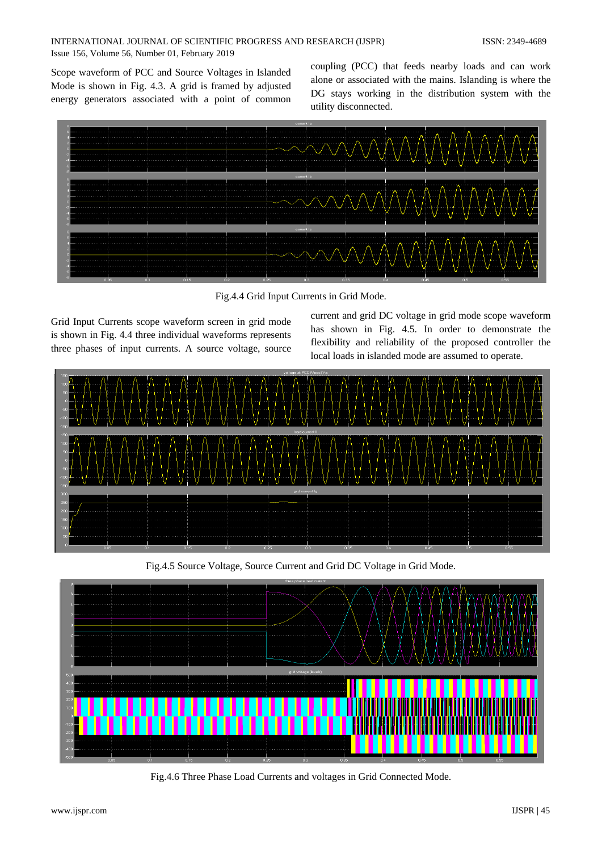Scope waveform of PCC and Source Voltages in Islanded Mode is shown in Fig. 4.3. A grid is framed by adjusted energy generators associated with a point of common

coupling (PCC) that feeds nearby loads and can work alone or associated with the mains. Islanding is where the DG stays working in the distribution system with the utility disconnected.



Fig.4.4 Grid Input Currents in Grid Mode.

Grid Input Currents scope waveform screen in grid mode is shown in Fig. 4.4 three individual waveforms represents three phases of input currents. A source voltage, source

current and grid DC voltage in grid mode scope waveform has shown in Fig. 4.5. In order to demonstrate the flexibility and reliability of the proposed controller the local loads in islanded mode are assumed to operate.



Fig.4.5 Source Voltage, Source Current and Grid DC Voltage in Grid Mode.



Fig.4.6 Three Phase Load Currents and voltages in Grid Connected Mode.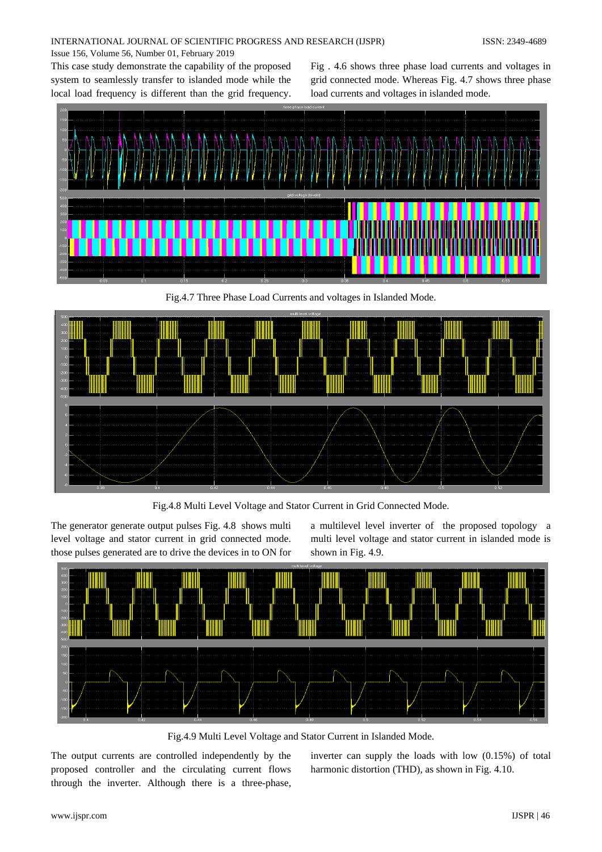# INTERNATIONAL JOURNAL OF SCIENTIFIC PROGRESS AND RESEARCH (IJSPR) ISSN: 2349-4689 Issue 156, Volume 56, Number 01, February 2019

This case study demonstrate the capability of the proposed system to seamlessly transfer to islanded mode while the local load frequency is different than the grid frequency. Fig . 4.6 shows three phase load currents and voltages in grid connected mode. Whereas Fig. 4.7 shows three phase load currents and voltages in islanded mode.



Fig.4.7 Three Phase Load Currents and voltages in Islanded Mode.



Fig.4.8 Multi Level Voltage and Stator Current in Grid Connected Mode.

The generator generate output pulses Fig. 4.8 shows multi level voltage and stator current in grid connected mode. those pulses generated are to drive the devices in to ON for a multilevel level inverter of the proposed topology a multi level voltage and stator current in islanded mode is shown in Fig. 4.9.



Fig.4.9 Multi Level Voltage and Stator Current in Islanded Mode.

The output currents are controlled independently by the proposed controller and the circulating current flows through the inverter. Although there is a three-phase,

inverter can supply the loads with low (0.15%) of total harmonic distortion (THD), as shown in Fig. 4.10.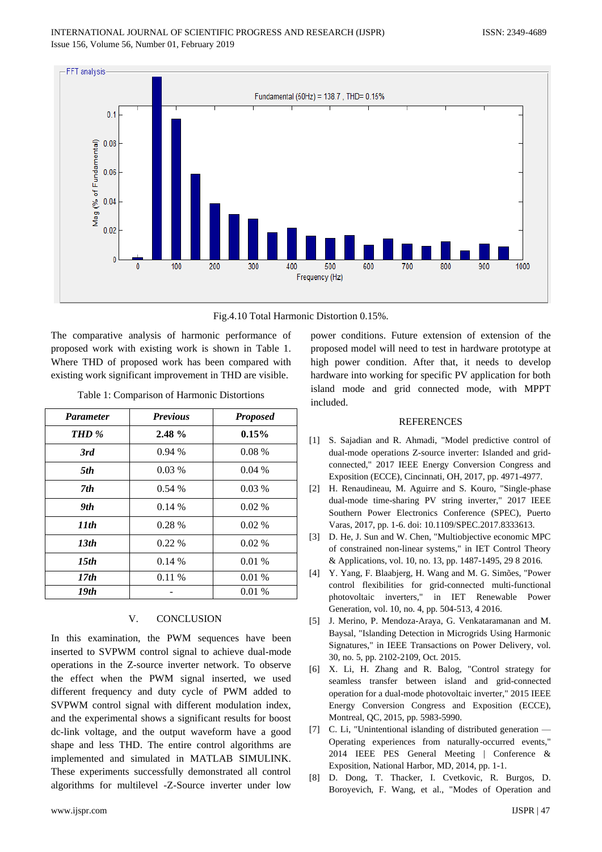



The comparative analysis of harmonic performance of proposed work with existing work is shown in Table 1. Where THD of proposed work has been compared with existing work significant improvement in THD are visible.

Table 1: Comparison of Harmonic Distortions

| <b>Parameter</b> | <b>Previous</b> | <b>Proposed</b> |
|------------------|-----------------|-----------------|
| THD %            | $2.48 \%$       | 0.15%           |
| 3rd              | 0.94%           | $0.08\%$        |
| 5th              | 0.03%           | 0.04%           |
| 7th              | 0.54%           | 0.03%           |
| 9th              | $0.14\%$        | $0.02\%$        |
| 11th             | $0.28\%$        | $0.02\%$        |
| 13 <sub>th</sub> | $0.22\%$        | $0.02\%$        |
| 15 <sub>th</sub> | 0.14%           | 0.01%           |
| 17th             | $0.11\%$        | 0.01%           |
| 19th             |                 | 0.01%           |

# V. CONCLUSION

In this examination, the PWM sequences have been inserted to SVPWM control signal to achieve dual-mode operations in the Z-source inverter network. To observe the effect when the PWM signal inserted, we used different frequency and duty cycle of PWM added to SVPWM control signal with different modulation index, and the experimental shows a significant results for boost dc-link voltage, and the output waveform have a good shape and less THD. The entire control algorithms are implemented and simulated in MATLAB SIMULINK. These experiments successfully demonstrated all control algorithms for multilevel -Z-Source inverter under low

power conditions. Future extension of extension of the proposed model will need to test in hardware prototype at high power condition. After that, it needs to develop hardware into working for specific PV application for both island mode and grid connected mode, with MPPT included.

#### **REFERENCES**

- [1] S. Sajadian and R. Ahmadi, "Model predictive control of dual-mode operations Z-source inverter: Islanded and gridconnected," 2017 IEEE Energy Conversion Congress and Exposition (ECCE), Cincinnati, OH, 2017, pp. 4971-4977.
- [2] H. Renaudineau, M. Aguirre and S. Kouro, "Single-phase dual-mode time-sharing PV string inverter," 2017 IEEE Southern Power Electronics Conference (SPEC), Puerto Varas, 2017, pp. 1-6. doi: 10.1109/SPEC.2017.8333613.
- [3] D. He, J. Sun and W. Chen, "Multiobjective economic MPC of constrained non-linear systems," in IET Control Theory & Applications, vol. 10, no. 13, pp. 1487-1495, 29 8 2016.
- [4] Y. Yang, F. Blaabjerg, H. Wang and M. G. Simões, "Power control flexibilities for grid-connected multi-functional photovoltaic inverters," in IET Renewable Power Generation, vol. 10, no. 4, pp. 504-513, 4 2016.
- [5] J. Merino, P. Mendoza-Araya, G. Venkataramanan and M. Baysal, "Islanding Detection in Microgrids Using Harmonic Signatures," in IEEE Transactions on Power Delivery, vol. 30, no. 5, pp. 2102-2109, Oct. 2015.
- [6] X. Li, H. Zhang and R. Balog, "Control strategy for seamless transfer between island and grid-connected operation for a dual-mode photovoltaic inverter," 2015 IEEE Energy Conversion Congress and Exposition (ECCE), Montreal, QC, 2015, pp. 5983-5990.
- [7] C. Li, "Unintentional islanding of distributed generation Operating experiences from naturally-occurred events," 2014 IEEE PES General Meeting | Conference & Exposition, National Harbor, MD, 2014, pp. 1-1.
- [8] D. Dong, T. Thacker, I. Cvetkovic, R. Burgos, D. Boroyevich, F. Wang, et al., "Modes of Operation and